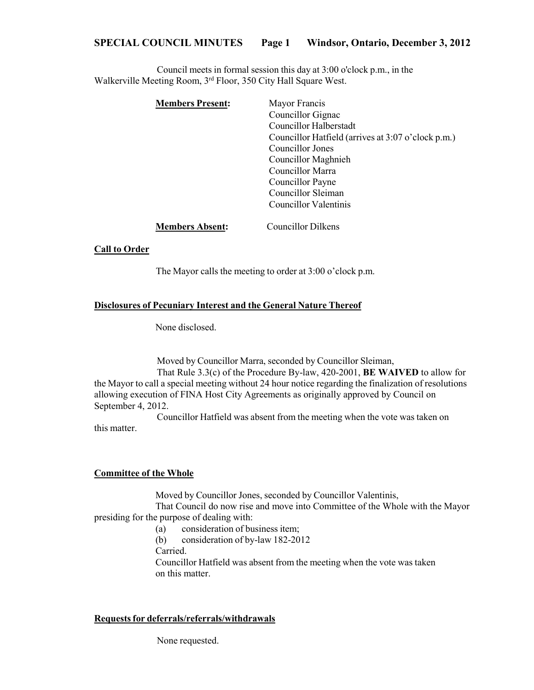# **SPECIAL COUNCIL MINUTES Page 1 Windsor, Ontario, December 3, 2012**

Council meets in formal session this day at 3:00 o'clock p.m., in the Walkerville Meeting Room, 3<sup>rd</sup> Floor, 350 City Hall Square West.

| <b>Members Present:</b> | Mayor Francis                                      |
|-------------------------|----------------------------------------------------|
|                         | Councillor Gignac                                  |
|                         | Councillor Halberstadt                             |
|                         | Councillor Hatfield (arrives at 3:07 o'clock p.m.) |
|                         | Councillor Jones                                   |
|                         | Councillor Maghnieh                                |
|                         | Councillor Marra                                   |
|                         | Councillor Payne                                   |
|                         | Councillor Sleiman                                 |
|                         | Councillor Valentinis                              |
|                         |                                                    |
|                         |                                                    |

**Members Absent:** Councillor Dilkens

#### **Call to Order**

The Mayor calls the meeting to order at 3:00 o'clock p.m.

#### **Disclosures of Pecuniary Interest and the General Nature Thereof**

None disclosed.

Moved by Councillor Marra, seconded by Councillor Sleiman, That Rule 3.3(c) of the Procedure By-law, 420-2001, **BE WAIVED** to allow for the Mayor to call a special meeting without 24 hour notice regarding the finalization of resolutions allowing execution of FINA Host City Agreements as originally approved by Council on September 4, 2012.

Councillor Hatfield was absent from the meeting when the vote was taken on this matter.

## **Committee of the Whole**

Moved by Councillor Jones, seconded by Councillor Valentinis,

That Council do now rise and move into Committee of the Whole with the Mayor presiding for the purpose of dealing with:

- (a) consideration of business item;
- (b) consideration of by-law 182-2012
- Carried.

Councillor Hatfield was absent from the meeting when the vote was taken on this matter.

## **Requestsfor deferrals/referrals/withdrawals**

None requested.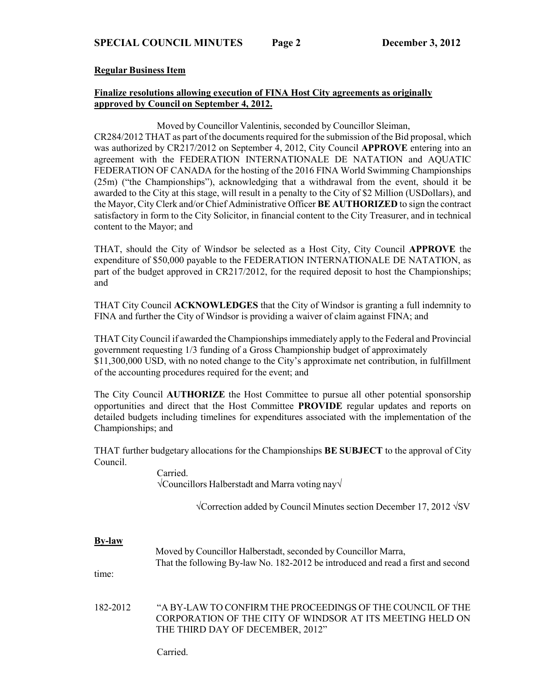## **Regular Business Item**

## **Finalize resolutions allowing execution of FINA Host City agreements as originally approved by Council on September 4, 2012.**

Moved by Councillor Valentinis, seconded by Councillor Sleiman,

CR284/2012 THAT as part of the documents required for the submission of the Bid proposal, which was authorized by CR217/2012 on September 4, 2012, City Council **APPROVE** entering into an agreement with the FEDERATION INTERNATIONALE DE NATATION and AQUATIC FEDERATION OF CANADA for the hosting of the 2016 FINA World Swimming Championships (25m) ("the Championships"), acknowledging that a withdrawal from the event, should it be awarded to the City at this stage, will result in a penalty to the City of \$2 Million (USDollars), and the Mayor, City Clerk and/or Chief Administrative Officer **BE AUTHORIZED** to sign the contract satisfactory in form to the City Solicitor, in financial content to the City Treasurer, and in technical content to the Mayor; and

THAT, should the City of Windsor be selected as a Host City, City Council **APPROVE** the expenditure of \$50,000 payable to the FEDERATION INTERNATIONALE DE NATATION, as part of the budget approved in CR217/2012, for the required deposit to host the Championships; and

THAT City Council **ACKNOWLEDGES** that the City of Windsor is granting a full indemnity to FINA and further the City of Windsor is providing a waiver of claim against FINA; and

THAT City Council if awarded the Championshipsimmediately apply to the Federal and Provincial government requesting 1/3 funding of a Gross Championship budget of approximately \$11,300,000 USD, with no noted change to the City's approximate net contribution, in fulfillment of the accounting procedures required for the event; and

The City Council **AUTHORIZE** the Host Committee to pursue all other potential sponsorship opportunities and direct that the Host Committee **PROVIDE** regular updates and reports on detailed budgets including timelines for expenditures associated with the implementation of the Championships; and

THAT further budgetary allocations for the Championships **BE SUBJECT** to the approval of City Council.

> Carried. √Councillors Halberstadt and Marra voting nay√

> > √Correction added by Council Minutes section December 17, 2012 √SV

### **By-law**

|       | Moved by Councillor Halberstadt, seconded by Councillor Marra,                   |
|-------|----------------------------------------------------------------------------------|
|       | That the following By-law No. 182-2012 be introduced and read a first and second |
| time: |                                                                                  |

182-2012 "A BY-LAW TO CONFIRM THE PROCEEDINGS OF THE COUNCIL OF THE CORPORATION OF THE CITY OF WINDSOR AT ITS MEETING HELD ON THE THIRD DAY OF DECEMBER, 2012"

Carried.